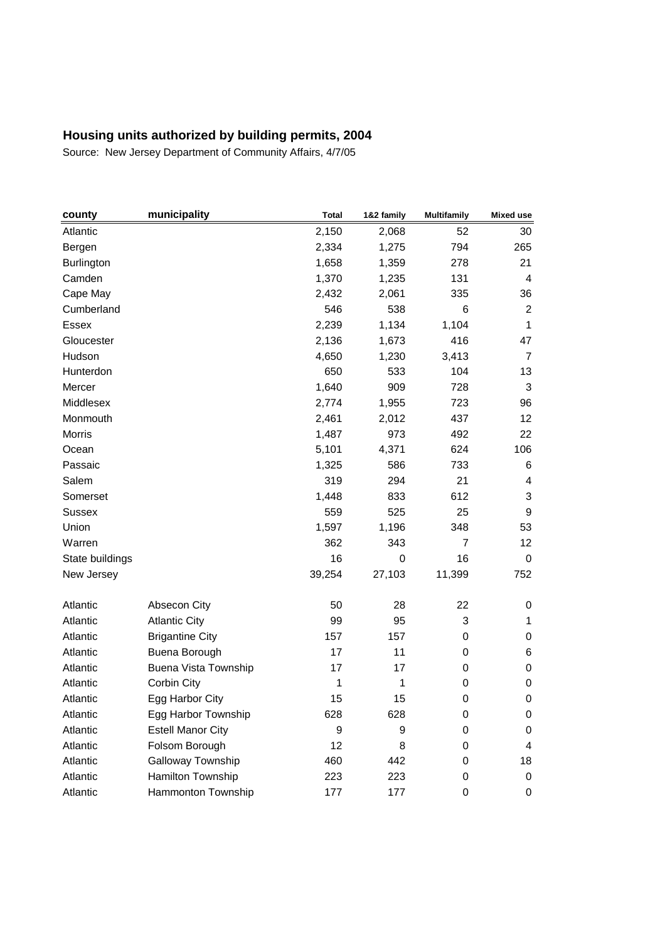| county            | municipality             | <b>Total</b> | 1&2 family | <b>Multifamily</b> | <b>Mixed use</b> |
|-------------------|--------------------------|--------------|------------|--------------------|------------------|
| Atlantic          |                          | 2,150        | 2,068      | 52                 | 30               |
| Bergen            |                          | 2,334        | 1,275      | 794                | 265              |
| <b>Burlington</b> |                          | 1,658        | 1,359      | 278                | 21               |
| Camden            |                          | 1,370        | 1,235      | 131                | 4                |
| Cape May          |                          | 2,432        | 2,061      | 335                | 36               |
| Cumberland        |                          | 546          | 538        | 6                  | $\overline{2}$   |
| <b>Essex</b>      |                          | 2,239        | 1,134      | 1,104              | 1                |
| Gloucester        |                          | 2,136        | 1,673      | 416                | 47               |
| Hudson            |                          | 4,650        | 1,230      | 3,413              | $\overline{7}$   |
| Hunterdon         |                          | 650          | 533        | 104                | 13               |
| Mercer            |                          | 1,640        | 909        | 728                | 3                |
| Middlesex         |                          | 2,774        | 1,955      | 723                | 96               |
| Monmouth          |                          | 2,461        | 2,012      | 437                | 12               |
| <b>Morris</b>     |                          | 1,487        | 973        | 492                | 22               |
| Ocean             |                          | 5,101        | 4,371      | 624                | 106              |
| Passaic           |                          | 1,325        | 586        | 733                | 6                |
| Salem             |                          | 319          | 294        | 21                 | 4                |
| Somerset          |                          | 1,448        | 833        | 612                | 3                |
| <b>Sussex</b>     |                          | 559          | 525        | 25                 | 9                |
| Union             |                          | 1,597        | 1,196      | 348                | 53               |
| Warren            |                          | 362          | 343        | $\overline{7}$     | 12               |
| State buildings   |                          | 16           | 0          | 16                 | 0                |
| New Jersey        |                          | 39,254       | 27,103     | 11,399             | 752              |
| Atlantic          | Absecon City             | 50           | 28         | 22                 | 0                |
| Atlantic          | <b>Atlantic City</b>     | 99           | 95         | 3                  | $\mathbf{1}$     |
| Atlantic          | <b>Brigantine City</b>   | 157          | 157        | 0                  | 0                |
| Atlantic          | Buena Borough            | 17           | 11         | 0                  | 6                |
| Atlantic          | Buena Vista Township     | 17           | 17         | $\mathbf 0$        | 0                |
| Atlantic          | Corbin City              | 1            | 1          | 0                  | 0                |
| Atlantic          | Egg Harbor City          | 15           | 15         | $\boldsymbol{0}$   | 0                |
| Atlantic          | Egg Harbor Township      | 628          | 628        | 0                  | 0                |
| Atlantic          | <b>Estell Manor City</b> | 9            | 9          | 0                  | 0                |
| Atlantic          | Folsom Borough           | 12           | 8          | 0                  | 4                |
| Atlantic          | Galloway Township        | 460          | 442        | 0                  | 18               |
| Atlantic          | Hamilton Township        | 223          | 223        | 0                  | 0                |
| Atlantic          | Hammonton Township       | 177          | 177        | 0                  | 0                |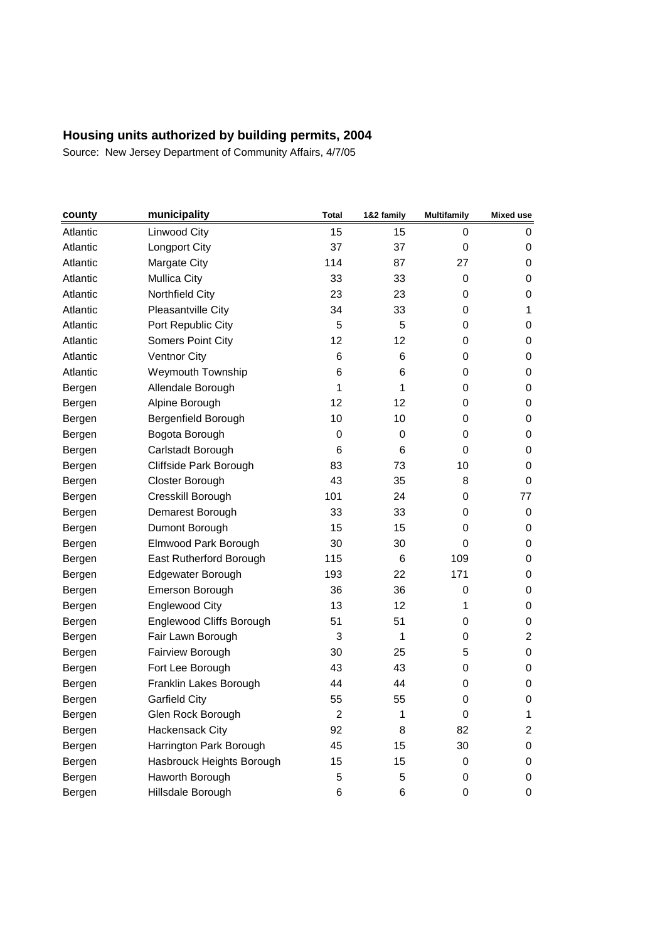| county   | municipality              | <b>Total</b>   | 1&2 family      | <b>Multifamily</b> | <b>Mixed use</b> |
|----------|---------------------------|----------------|-----------------|--------------------|------------------|
| Atlantic | Linwood City              | 15             | 15              | 0                  | 0                |
| Atlantic | Longport City             | 37             | 37              | 0                  | 0                |
| Atlantic | Margate City              | 114            | 87              | 27                 | 0                |
| Atlantic | <b>Mullica City</b>       | 33             | 33              | 0                  | 0                |
| Atlantic | Northfield City           | 23             | 23              | 0                  | 0                |
| Atlantic | Pleasantville City        | 34             | 33              | 0                  | 1                |
| Atlantic | Port Republic City        | 5              | 5               | 0                  | 0                |
| Atlantic | Somers Point City         | 12             | 12              | 0                  | 0                |
| Atlantic | <b>Ventnor City</b>       | 6              | 6               | 0                  | 0                |
| Atlantic | <b>Weymouth Township</b>  | 6              | 6               | 0                  | 0                |
| Bergen   | Allendale Borough         | 1              | 1               | 0                  | 0                |
| Bergen   | Alpine Borough            | 12             | 12              | 0                  | 0                |
| Bergen   | Bergenfield Borough       | 10             | 10              | 0                  | 0                |
| Bergen   | Bogota Borough            | 0              | 0               | 0                  | 0                |
| Bergen   | Carlstadt Borough         | 6              | 6               | 0                  | 0                |
| Bergen   | Cliffside Park Borough    | 83             | 73              | 10                 | 0                |
| Bergen   | Closter Borough           | 43             | 35              | 8                  | 0                |
| Bergen   | Cresskill Borough         | 101            | 24              | 0                  | 77               |
| Bergen   | Demarest Borough          | 33             | 33              | 0                  | 0                |
| Bergen   | Dumont Borough            | 15             | 15              | 0                  | 0                |
| Bergen   | Elmwood Park Borough      | 30             | 30              | 0                  | 0                |
| Bergen   | East Rutherford Borough   | 115            | 6               | 109                | 0                |
| Bergen   | Edgewater Borough         | 193            | 22              | 171                | 0                |
| Bergen   | Emerson Borough           | 36             | 36              | 0                  | 0                |
| Bergen   | <b>Englewood City</b>     | 13             | 12 <sup>°</sup> | 1                  | 0                |
| Bergen   | Englewood Cliffs Borough  | 51             | 51              | 0                  | 0                |
| Bergen   | Fair Lawn Borough         | 3              | 1               | 0                  | $\overline{2}$   |
| Bergen   | Fairview Borough          | 30             | 25              | 5                  | 0                |
| Bergen   | Fort Lee Borough          | 43             | 43              | 0                  | 0                |
| Bergen   | Franklin Lakes Borough    | 44             | 44              | 0                  | 0                |
| Bergen   | <b>Garfield City</b>      | 55             | 55              | 0                  | 0                |
| Bergen   | Glen Rock Borough         | $\overline{c}$ | 1               | 0                  | 1                |
| Bergen   | Hackensack City           | 92             | 8               | 82                 | 2                |
| Bergen   | Harrington Park Borough   | 45             | 15              | 30                 | 0                |
| Bergen   | Hasbrouck Heights Borough | 15             | 15              | 0                  | 0                |
| Bergen   | Haworth Borough           | 5              | 5               | 0                  | 0                |
| Bergen   | Hillsdale Borough         | 6              | 6               | 0                  | 0                |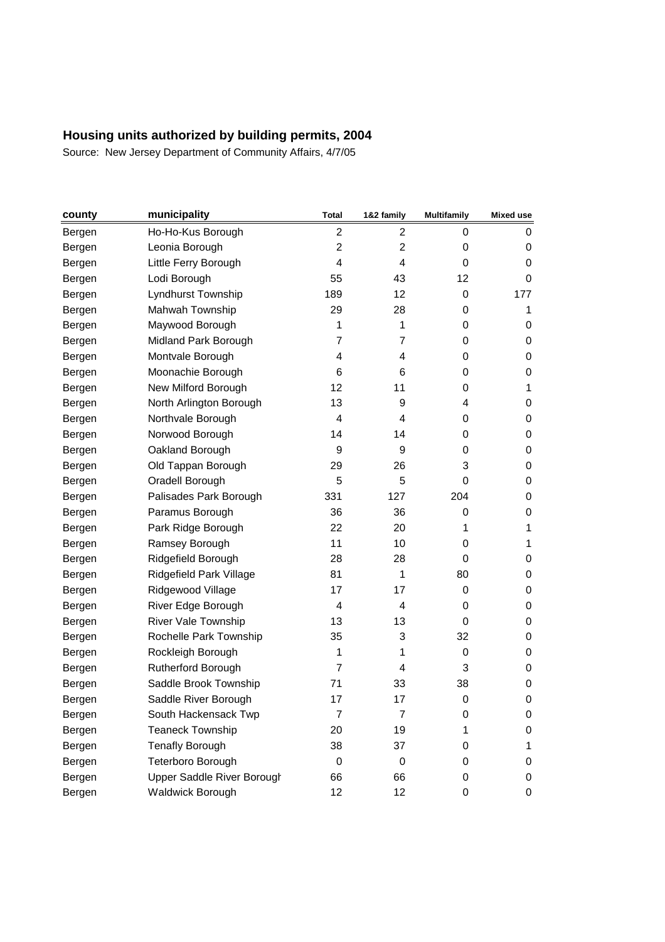| county | municipality               | Total          | 1&2 family        | <b>Multifamily</b> | Mixed use |
|--------|----------------------------|----------------|-------------------|--------------------|-----------|
| Bergen | Ho-Ho-Kus Borough          | 2              | 2                 | 0                  | 0         |
| Bergen | Leonia Borough             | $\overline{2}$ | $\overline{2}$    | 0                  | 0         |
| Bergen | Little Ferry Borough       | 4              | 4                 | 0                  | 0         |
| Bergen | Lodi Borough               | 55             | 43                | 12                 | 0         |
| Bergen | Lyndhurst Township         | 189            | $12 \overline{ }$ | 0                  | 177       |
| Bergen | Mahwah Township            | 29             | 28                | 0                  | 1         |
| Bergen | Maywood Borough            | $\mathbf{1}$   | 1                 | 0                  | 0         |
| Bergen | Midland Park Borough       | $\overline{7}$ | $\overline{7}$    | 0                  | 0         |
| Bergen | Montvale Borough           | 4              | 4                 | 0                  | 0         |
| Bergen | Moonachie Borough          | 6              | 6                 | 0                  | 0         |
| Bergen | New Milford Borough        | 12             | 11                | 0                  | 1         |
| Bergen | North Arlington Borough    | 13             | 9                 | 4                  | 0         |
| Bergen | Northvale Borough          | 4              | 4                 | 0                  | 0         |
| Bergen | Norwood Borough            | 14             | 14                | 0                  | 0         |
| Bergen | Oakland Borough            | 9              | 9                 | 0                  | 0         |
| Bergen | Old Tappan Borough         | 29             | 26                | 3                  | 0         |
| Bergen | Oradell Borough            | 5              | 5                 | 0                  | 0         |
| Bergen | Palisades Park Borough     | 331            | 127               | 204                | 0         |
| Bergen | Paramus Borough            | 36             | 36                | 0                  | 0         |
| Bergen | Park Ridge Borough         | 22             | 20                | 1                  | 1         |
| Bergen | Ramsey Borough             | 11             | 10                | 0                  | 1         |
| Bergen | Ridgefield Borough         | 28             | 28                | 0                  | 0         |
| Bergen | Ridgefield Park Village    | 81             | 1                 | 80                 | 0         |
| Bergen | Ridgewood Village          | 17             | 17                | 0                  | 0         |
| Bergen | River Edge Borough         | 4              | 4                 | 0                  | 0         |
| Bergen | River Vale Township        | 13             | 13                | 0                  | 0         |
| Bergen | Rochelle Park Township     | 35             | 3                 | 32                 | 0         |
| Bergen | Rockleigh Borough          | 1              | 1                 | 0                  | 0         |
| Bergen | Rutherford Borough         | $\overline{7}$ | 4                 | 3                  | 0         |
| Bergen | Saddle Brook Township      | 71             | 33                | 38                 | 0         |
| Bergen | Saddle River Borough       | 17             | 17                | 0                  | 0         |
| Bergen | South Hackensack Twp       | 7              | 7                 | 0                  | 0         |
| Bergen | <b>Teaneck Township</b>    | 20             | 19                | 1                  | 0         |
| Bergen | <b>Tenafly Borough</b>     | 38             | 37                | 0                  | 1         |
| Bergen | Teterboro Borough          | 0              | 0                 | 0                  | 0         |
| Bergen | Upper Saddle River Borough | 66             | 66                | 0                  | 0         |
| Bergen | <b>Waldwick Borough</b>    | 12             | 12                | 0                  | 0         |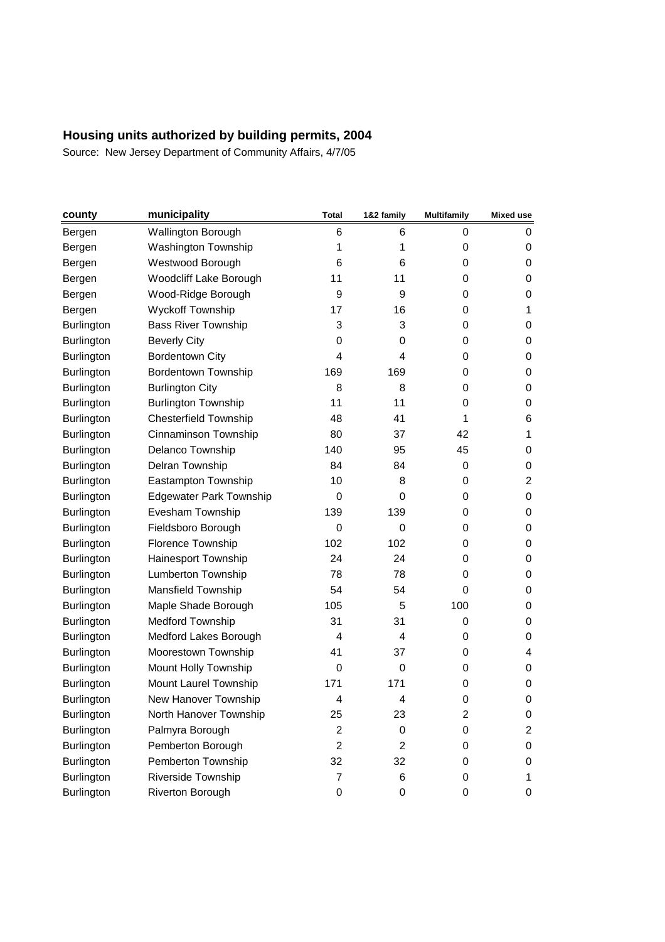| county            | municipality                   | Total          | 1&2 family     | <b>Multifamily</b>      | <b>Mixed use</b> |
|-------------------|--------------------------------|----------------|----------------|-------------------------|------------------|
| Bergen            | <b>Wallington Borough</b>      | 6              | 6              | 0                       | 0                |
| Bergen            | <b>Washington Township</b>     | 1              | 1              | 0                       | 0                |
| Bergen            | Westwood Borough               | 6              | 6              | 0                       | 0                |
| Bergen            | <b>Woodcliff Lake Borough</b>  | 11             | 11             | 0                       | 0                |
| Bergen            | Wood-Ridge Borough             | 9              | 9              | 0                       | 0                |
| Bergen            | <b>Wyckoff Township</b>        | 17             | 16             | 0                       | 1                |
| Burlington        | <b>Bass River Township</b>     | 3              | 3              | 0                       | 0                |
| <b>Burlington</b> | <b>Beverly City</b>            | 0              | 0              | 0                       | 0                |
| Burlington        | <b>Bordentown City</b>         | 4              | 4              | 0                       | 0                |
| <b>Burlington</b> | <b>Bordentown Township</b>     | 169            | 169            | 0                       | 0                |
| Burlington        | <b>Burlington City</b>         | 8              | 8              | 0                       | 0                |
| Burlington        | <b>Burlington Township</b>     | 11             | 11             | 0                       | 0                |
| Burlington        | <b>Chesterfield Township</b>   | 48             | 41             | 1                       | 6                |
| <b>Burlington</b> | Cinnaminson Township           | 80             | 37             | 42                      | 1                |
| Burlington        | Delanco Township               | 140            | 95             | 45                      | 0                |
| Burlington        | Delran Township                | 84             | 84             | 0                       | 0                |
| <b>Burlington</b> | Eastampton Township            | 10             | 8              | 0                       | $\overline{2}$   |
| <b>Burlington</b> | <b>Edgewater Park Township</b> | 0              | 0              | 0                       | 0                |
| Burlington        | Evesham Township               | 139            | 139            | 0                       | 0                |
| Burlington        | Fieldsboro Borough             | 0              | $\mathbf 0$    | 0                       | 0                |
| <b>Burlington</b> | Florence Township              | 102            | 102            | 0                       | 0                |
| Burlington        | Hainesport Township            | 24             | 24             | 0                       | 0                |
| <b>Burlington</b> | <b>Lumberton Township</b>      | 78             | 78             | $\mathbf 0$             | 0                |
| <b>Burlington</b> | Mansfield Township             | 54             | 54             | 0                       | 0                |
| <b>Burlington</b> | Maple Shade Borough            | 105            | 5              | 100                     | 0                |
| Burlington        | Medford Township               | 31             | 31             | 0                       | 0                |
| <b>Burlington</b> | Medford Lakes Borough          | 4              | 4              | 0                       | 0                |
| Burlington        | Moorestown Township            | 41             | 37             | 0                       | 4                |
| <b>Burlington</b> | Mount Holly Township           | 0              | 0              | 0                       | 0                |
| <b>Burlington</b> | Mount Laurel Township          | 171            | 171            | 0                       | 0                |
| <b>Burlington</b> | New Hanover Township           | 4              | 4              | $\mathbf 0$             | 0                |
| <b>Burlington</b> | North Hanover Township         | 25             | 23             | $\overline{\mathbf{c}}$ | 0                |
| Burlington        | Palmyra Borough                | 2              | 0              | 0                       | 2                |
| Burlington        | Pemberton Borough              | $\overline{c}$ | $\overline{c}$ | 0                       | 0                |
| Burlington        | Pemberton Township             | 32             | 32             | 0                       | 0                |
| Burlington        | Riverside Township             | $\overline{7}$ | 6              | 0                       | 1                |
| Burlington        | Riverton Borough               | $\pmb{0}$      | 0              | 0                       | 0                |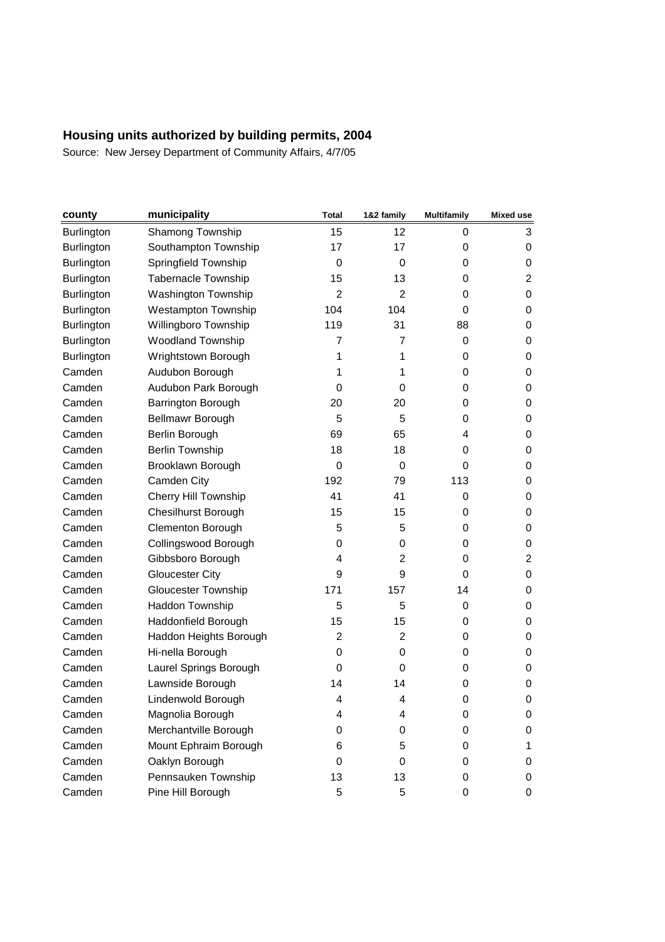| county            | municipality               | Total                   | 1&2 family     | <b>Multifamily</b> | <b>Mixed use</b> |
|-------------------|----------------------------|-------------------------|----------------|--------------------|------------------|
| <b>Burlington</b> | Shamong Township           | 15                      | 12             | 0                  | 3                |
| <b>Burlington</b> | Southampton Township       | 17                      | 17             | 0                  | 0                |
| <b>Burlington</b> | Springfield Township       | 0                       | 0              | 0                  | 0                |
| <b>Burlington</b> | Tabernacle Township        | 15                      | 13             | 0                  | 2                |
| <b>Burlington</b> | Washington Township        | 2                       | $\overline{2}$ | 0                  | 0                |
| <b>Burlington</b> | <b>Westampton Township</b> | 104                     | 104            | 0                  | 0                |
| <b>Burlington</b> | Willingboro Township       | 119                     | 31             | 88                 | 0                |
| Burlington        | <b>Woodland Township</b>   | 7                       | $\overline{7}$ | 0                  | 0                |
| Burlington        | Wrightstown Borough        | 1                       | 1              | 0                  | 0                |
| Camden            | Audubon Borough            | 1                       | 1              | 0                  | 0                |
| Camden            | Audubon Park Borough       | 0                       | 0              | 0                  | 0                |
| Camden            | Barrington Borough         | 20                      | 20             | 0                  | 0                |
| Camden            | Bellmawr Borough           | 5                       | 5              | 0                  | 0                |
| Camden            | Berlin Borough             | 69                      | 65             | 4                  | 0                |
| Camden            | <b>Berlin Township</b>     | 18                      | 18             | 0                  | 0                |
| Camden            | Brooklawn Borough          | 0                       | $\mathbf 0$    | 0                  | 0                |
| Camden            | Camden City                | 192                     | 79             | 113                | 0                |
| Camden            | Cherry Hill Township       | 41                      | 41             | 0                  | 0                |
| Camden            | <b>Chesilhurst Borough</b> | 15                      | 15             | 0                  | 0                |
| Camden            | Clementon Borough          | 5                       | 5              | 0                  | 0                |
| Camden            | Collingswood Borough       | 0                       | 0              | 0                  | 0                |
| Camden            | Gibbsboro Borough          | 4                       | 2              | 0                  | 2                |
| Camden            | <b>Gloucester City</b>     | 9                       | 9              | 0                  | 0                |
| Camden            | <b>Gloucester Township</b> | 171                     | 157            | 14                 | 0                |
| Camden            | Haddon Township            | 5                       | 5              | 0                  | 0                |
| Camden            | Haddonfield Borough        | 15                      | 15             | 0                  | 0                |
| Camden            | Haddon Heights Borough     | 2                       | $\overline{2}$ | 0                  | 0                |
| Camden            | Hi-nella Borough           | 0                       | 0              | 0                  | 0                |
| Camden            | Laurel Springs Borough     | 0                       | 0              | 0                  | 0                |
| Camden            | Lawnside Borough           | 14                      | 14             | 0                  | 0                |
| Camden            | Lindenwold Borough         | $\overline{\mathbf{4}}$ | 4              | 0                  | 0                |
| Camden            | Magnolia Borough           | 4                       | 4              | 0                  | 0                |
| Camden            | Merchantville Borough      | 0                       | 0              | 0                  | 0                |
| Camden            | Mount Ephraim Borough      | 6                       | 5              | 0                  | 1                |
| Camden            | Oaklyn Borough             | 0                       | 0              | 0                  | 0                |
| Camden            | Pennsauken Township        | 13                      | 13             | 0                  | 0                |
| Camden            | Pine Hill Borough          | 5                       | $\sqrt{5}$     | 0                  | 0                |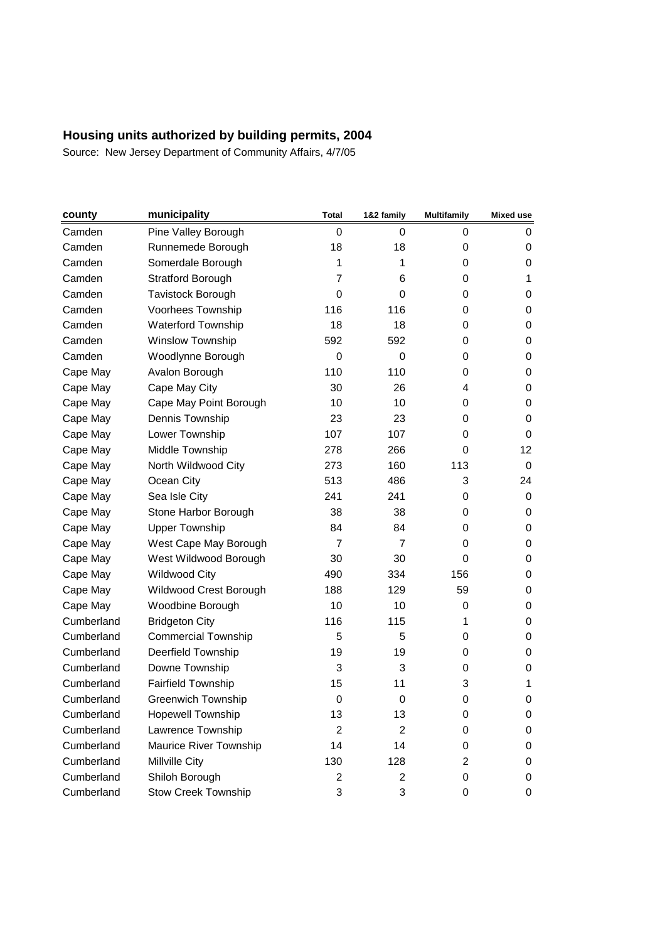| county     | municipality               | Total          | 1&2 family     | <b>Multifamily</b> | <b>Mixed use</b> |
|------------|----------------------------|----------------|----------------|--------------------|------------------|
| Camden     | Pine Valley Borough        | 0              | 0              | 0                  | 0                |
| Camden     | Runnemede Borough          | 18             | 18             | 0                  | 0                |
| Camden     | Somerdale Borough          | 1              | 1              | 0                  | 0                |
| Camden     | Stratford Borough          | $\overline{7}$ | 6              | 0                  | 1                |
| Camden     | <b>Tavistock Borough</b>   | 0              | 0              | 0                  | 0                |
| Camden     | Voorhees Township          | 116            | 116            | 0                  | 0                |
| Camden     | <b>Waterford Township</b>  | 18             | 18             | 0                  | 0                |
| Camden     | Winslow Township           | 592            | 592            | 0                  | 0                |
| Camden     | Woodlynne Borough          | 0              | 0              | 0                  | 0                |
| Cape May   | Avalon Borough             | 110            | 110            | 0                  | 0                |
| Cape May   | Cape May City              | 30             | 26             | 4                  | 0                |
| Cape May   | Cape May Point Borough     | 10             | 10             | 0                  | 0                |
| Cape May   | Dennis Township            | 23             | 23             | 0                  | 0                |
| Cape May   | Lower Township             | 107            | 107            | 0                  | 0                |
| Cape May   | Middle Township            | 278            | 266            | 0                  | 12               |
| Cape May   | North Wildwood City        | 273            | 160            | 113                | $\mathbf 0$      |
| Cape May   | Ocean City                 | 513            | 486            | 3                  | 24               |
| Cape May   | Sea Isle City              | 241            | 241            | 0                  | 0                |
| Cape May   | Stone Harbor Borough       | 38             | 38             | 0                  | 0                |
| Cape May   | <b>Upper Township</b>      | 84             | 84             | 0                  | 0                |
| Cape May   | West Cape May Borough      | $\overline{7}$ | $\overline{7}$ | 0                  | 0                |
| Cape May   | West Wildwood Borough      | 30             | 30             | 0                  | 0                |
| Cape May   | <b>Wildwood City</b>       | 490            | 334            | 156                | 0                |
| Cape May   | Wildwood Crest Borough     | 188            | 129            | 59                 | 0                |
| Cape May   | Woodbine Borough           | 10             | 10             | 0                  | 0                |
| Cumberland | <b>Bridgeton City</b>      | 116            | 115            | 1                  | 0                |
| Cumberland | <b>Commercial Township</b> | 5              | 5              | 0                  | 0                |
| Cumberland | Deerfield Township         | 19             | 19             | 0                  | 0                |
| Cumberland | Downe Township             | 3              | 3              | 0                  | 0                |
| Cumberland | <b>Fairfield Township</b>  | 15             | 11             | 3                  | 1                |
| Cumberland | <b>Greenwich Township</b>  | 0              | 0              | 0                  | 0                |
| Cumberland | <b>Hopewell Township</b>   | 13             | 13             | 0                  | 0                |
| Cumberland | Lawrence Township          | $\overline{2}$ | $\overline{c}$ | 0                  | 0                |
| Cumberland | Maurice River Township     | 14             | 14             | 0                  | 0                |
| Cumberland | Millville City             | 130            | 128            | $\overline{2}$     | 0                |
| Cumberland | Shiloh Borough             | 2              | 2              | 0                  | 0                |
| Cumberland | <b>Stow Creek Township</b> | 3              | 3              | 0                  | 0                |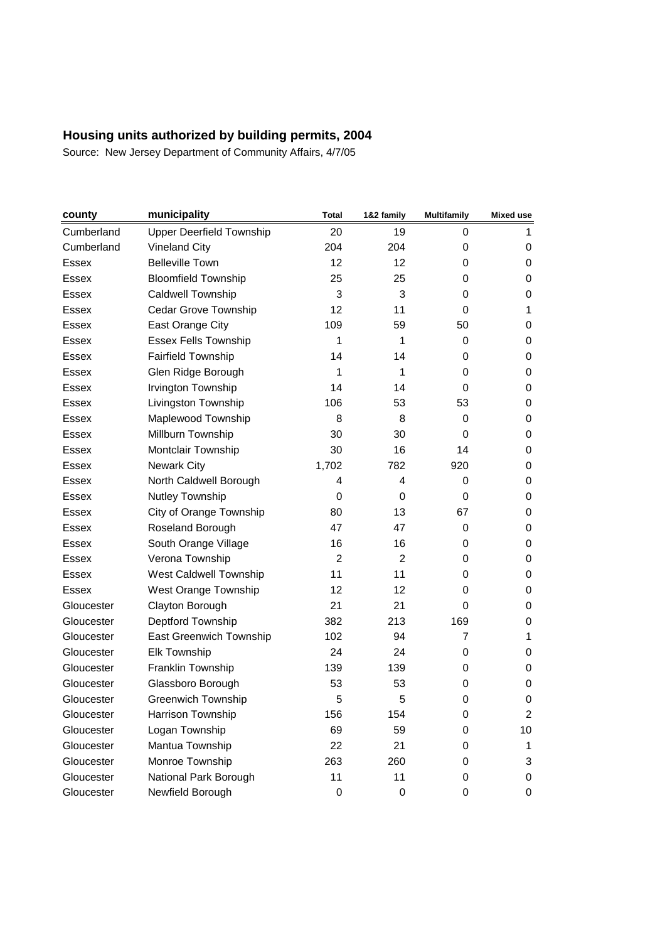| county       | municipality                    | Total          | 1&2 family     | <b>Multifamily</b> | <b>Mixed use</b> |
|--------------|---------------------------------|----------------|----------------|--------------------|------------------|
| Cumberland   | <b>Upper Deerfield Township</b> | 20             | 19             | 0                  | 1                |
| Cumberland   | <b>Vineland City</b>            | 204            | 204            | 0                  | 0                |
| <b>Essex</b> | <b>Belleville Town</b>          | 12             | 12             | 0                  | 0                |
| <b>Essex</b> | <b>Bloomfield Township</b>      | 25             | 25             | 0                  | 0                |
| Essex        | Caldwell Township               | 3              | 3              | 0                  | 0                |
| <b>Essex</b> | Cedar Grove Township            | 12             | 11             | 0                  | 1                |
| Essex        | East Orange City                | 109            | 59             | 50                 | 0                |
| Essex        | <b>Essex Fells Township</b>     | 1              | 1              | 0                  | 0                |
| <b>Essex</b> | Fairfield Township              | 14             | 14             | 0                  | 0                |
| <b>Essex</b> | Glen Ridge Borough              | 1              | 1              | 0                  | 0                |
| <b>Essex</b> | Irvington Township              | 14             | 14             | 0                  | 0                |
| <b>Essex</b> | Livingston Township             | 106            | 53             | 53                 | 0                |
| Essex        | Maplewood Township              | 8              | 8              | 0                  | 0                |
| Essex        | Millburn Township               | 30             | 30             | 0                  | 0                |
| <b>Essex</b> | Montclair Township              | 30             | 16             | 14                 | 0                |
| <b>Essex</b> | <b>Newark City</b>              | 1,702          | 782            | 920                | 0                |
| Essex        | North Caldwell Borough          | 4              | 4              | 0                  | 0                |
| <b>Essex</b> | Nutley Township                 | 0              | 0              | 0                  | 0                |
| Essex        | City of Orange Township         | 80             | 13             | 67                 | 0                |
| Essex        | Roseland Borough                | 47             | 47             | 0                  | 0                |
| Essex        | South Orange Village            | 16             | 16             | 0                  | 0                |
| Essex        | Verona Township                 | $\overline{2}$ | $\overline{2}$ | 0                  | 0                |
| <b>Essex</b> | West Caldwell Township          | 11             | 11             | 0                  | 0                |
| <b>Essex</b> | West Orange Township            | 12             | 12             | 0                  | 0                |
| Gloucester   | Clayton Borough                 | 21             | 21             | 0                  | 0                |
| Gloucester   | Deptford Township               | 382            | 213            | 169                | 0                |
| Gloucester   | <b>East Greenwich Township</b>  | 102            | 94             | $\overline{7}$     | 1                |
| Gloucester   | Elk Township                    | 24             | 24             | 0                  | 0                |
| Gloucester   | Franklin Township               | 139            | 139            | 0                  | 0                |
| Gloucester   | Glassboro Borough               | 53             | 53             | 0                  | 0                |
| Gloucester   | <b>Greenwich Township</b>       | 5              | 5              | 0                  | 0                |
| Gloucester   | Harrison Township               | 156            | 154            | 0                  | 2                |
| Gloucester   | Logan Township                  | 69             | 59             | 0                  | 10               |
| Gloucester   | Mantua Township                 | 22             | 21             | 0                  | 1                |
| Gloucester   | Monroe Township                 | 263            | 260            | 0                  | 3                |
| Gloucester   | National Park Borough           | 11             | 11             | 0                  | 0                |
| Gloucester   | Newfield Borough                | $\pmb{0}$      | $\pmb{0}$      | 0                  | 0                |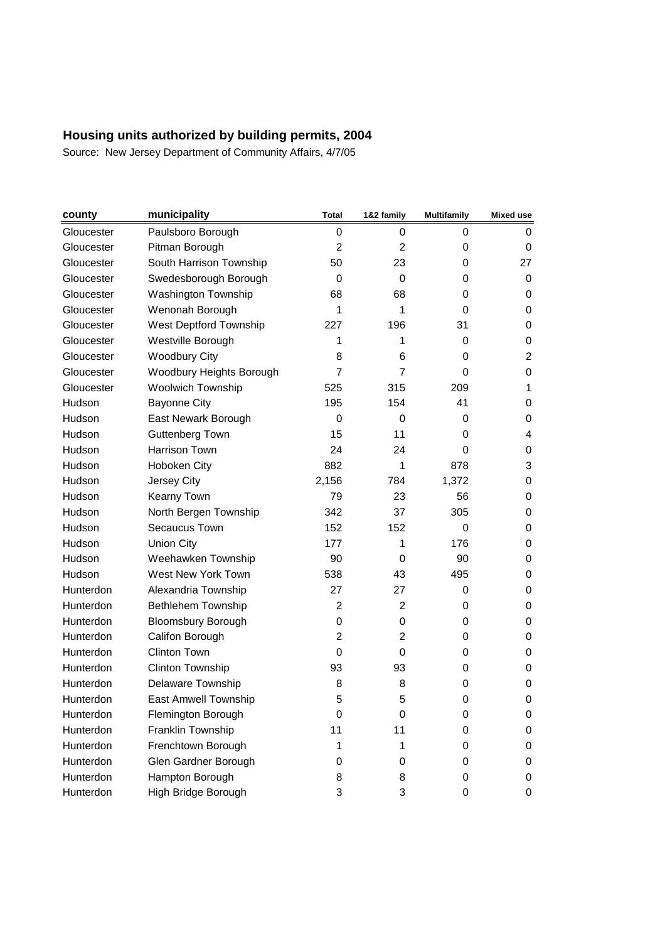| county     | municipality                  | Total          | 1&2 family     | <b>Multifamily</b> | Mixed use      |
|------------|-------------------------------|----------------|----------------|--------------------|----------------|
| Gloucester | Paulsboro Borough             | 0              | 0              | 0                  | 0              |
| Gloucester | Pitman Borough                | $\overline{2}$ | 2              | 0                  | 0              |
| Gloucester | South Harrison Township       | 50             | 23             | 0                  | 27             |
| Gloucester | Swedesborough Borough         | $\Omega$       | $\mathbf 0$    | 0                  | 0              |
| Gloucester | <b>Washington Township</b>    | 68             | 68             | 0                  | 0              |
| Gloucester | Wenonah Borough               | 1              | 1              | 0                  | 0              |
| Gloucester | <b>West Deptford Township</b> | 227            | 196            | 31                 | 0              |
| Gloucester | Westville Borough             | 1              | 1              | 0                  | 0              |
| Gloucester | <b>Woodbury City</b>          | 8              | 6              | 0                  | $\overline{c}$ |
| Gloucester | Woodbury Heights Borough      | $\overline{7}$ | $\overline{7}$ | 0                  | 0              |
| Gloucester | Woolwich Township             | 525            | 315            | 209                | 1              |
| Hudson     | <b>Bayonne City</b>           | 195            | 154            | 41                 | 0              |
| Hudson     | East Newark Borough           | $\Omega$       | 0              | 0                  | 0              |
| Hudson     | <b>Guttenberg Town</b>        | 15             | 11             | 0                  | 4              |
| Hudson     | Harrison Town                 | 24             | 24             | 0                  | 0              |
| Hudson     | Hoboken City                  | 882            | 1              | 878                | 3              |
| Hudson     | Jersey City                   | 2,156          | 784            | 1,372              | 0              |
| Hudson     | Kearny Town                   | 79             | 23             | 56                 | 0              |
| Hudson     | North Bergen Township         | 342            | 37             | 305                | 0              |
| Hudson     | Secaucus Town                 | 152            | 152            | 0                  | 0              |
| Hudson     | <b>Union City</b>             | 177            | 1              | 176                | 0              |
| Hudson     | Weehawken Township            | 90             | 0              | 90                 | 0              |
| Hudson     | West New York Town            | 538            | 43             | 495                | 0              |
| Hunterdon  | Alexandria Township           | 27             | 27             | 0                  | 0              |
| Hunterdon  | <b>Bethlehem Township</b>     | $\overline{2}$ | 2              | 0                  | 0              |
| Hunterdon  | <b>Bloomsbury Borough</b>     | 0              | 0              | 0                  | 0              |
| Hunterdon  | Califon Borough               | $\overline{2}$ | $\overline{2}$ | 0                  | 0              |
| Hunterdon  | <b>Clinton Town</b>           | 0              | 0              | 0                  | 0              |
| Hunterdon  | Clinton Township              | 93             | 93             | 0                  | 0              |
| Hunterdon  | Delaware Township             | 8              | 8              | 0                  | 0              |
| Hunterdon  | East Amwell Township          | 5              | 5              | $\mathbf 0$        | 0              |
| Hunterdon  | Flemington Borough            | 0              | 0              | 0                  | 0              |
| Hunterdon  | Franklin Township             | 11             | 11             | 0                  | 0              |
| Hunterdon  | Frenchtown Borough            | 1              | 1              | 0                  | 0              |
| Hunterdon  | Glen Gardner Borough          | 0              | 0              | 0                  | 0              |
| Hunterdon  | Hampton Borough               | 8              | 8              | 0                  | 0              |
| Hunterdon  | High Bridge Borough           | 3              | 3              | 0                  | 0              |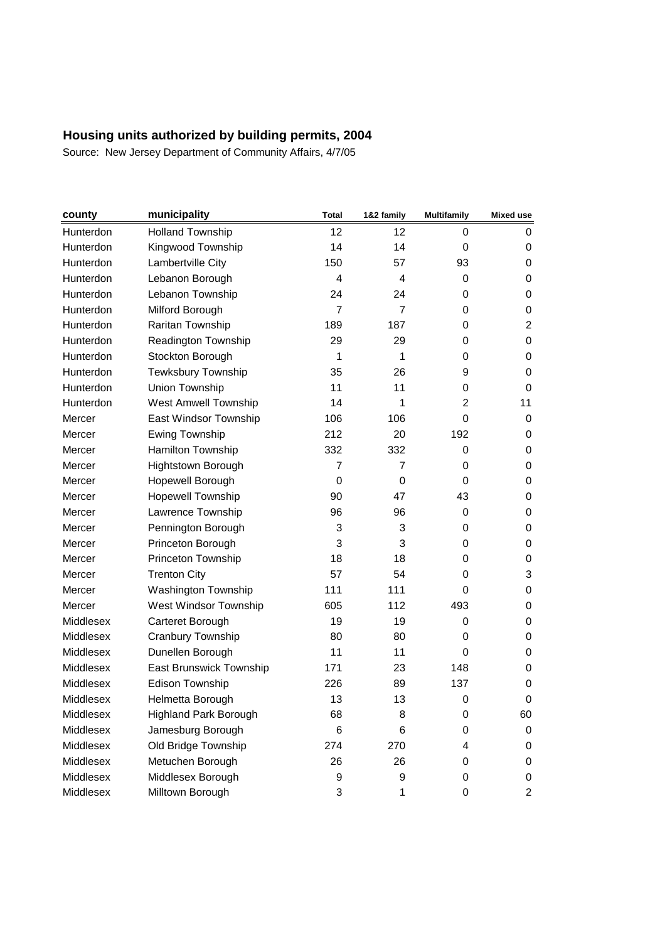| county    | municipality                 | <b>Total</b>   | 1&2 family     | <b>Multifamily</b> | Mixed use      |
|-----------|------------------------------|----------------|----------------|--------------------|----------------|
| Hunterdon | <b>Holland Township</b>      | 12             | 12             | 0                  | 0              |
| Hunterdon | Kingwood Township            | 14             | 14             | 0                  | 0              |
| Hunterdon | Lambertville City            | 150            | 57             | 93                 | 0              |
| Hunterdon | Lebanon Borough              | 4              | 4              | 0                  | 0              |
| Hunterdon | Lebanon Township             | 24             | 24             | 0                  | 0              |
| Hunterdon | Milford Borough              | $\overline{7}$ | $\overline{7}$ | 0                  | 0              |
| Hunterdon | Raritan Township             | 189            | 187            | 0                  | $\overline{c}$ |
| Hunterdon | Readington Township          | 29             | 29             | 0                  | 0              |
| Hunterdon | Stockton Borough             | 1              | 1              | 0                  | 0              |
| Hunterdon | Tewksbury Township           | 35             | 26             | 9                  | 0              |
| Hunterdon | Union Township               | 11             | 11             | 0                  | 0              |
| Hunterdon | <b>West Amwell Township</b>  | 14             | 1              | 2                  | 11             |
| Mercer    | East Windsor Township        | 106            | 106            | $\Omega$           | 0              |
| Mercer    | <b>Ewing Township</b>        | 212            | 20             | 192                | 0              |
| Mercer    | Hamilton Township            | 332            | 332            | 0                  | 0              |
| Mercer    | Hightstown Borough           | $\overline{7}$ | $\overline{7}$ | 0                  | 0              |
| Mercer    | Hopewell Borough             | 0              | 0              | $\Omega$           | 0              |
| Mercer    | Hopewell Township            | 90             | 47             | 43                 | 0              |
| Mercer    | Lawrence Township            | 96             | 96             | 0                  | 0              |
| Mercer    | Pennington Borough           | 3              | 3              | 0                  | 0              |
| Mercer    | Princeton Borough            | 3              | 3              | 0                  | 0              |
| Mercer    | Princeton Township           | 18             | 18             | 0                  | 0              |
| Mercer    | <b>Trenton City</b>          | 57             | 54             | 0                  | 3              |
| Mercer    | Washington Township          | 111            | 111            | 0                  | 0              |
| Mercer    | West Windsor Township        | 605            | 112            | 493                | 0              |
| Middlesex | Carteret Borough             | 19             | 19             | 0                  | 0              |
| Middlesex | Cranbury Township            | 80             | 80             | 0                  | 0              |
| Middlesex | Dunellen Borough             | 11             | 11             | 0                  | 0              |
| Middlesex | East Brunswick Township      | 171            | 23             | 148                | 0              |
| Middlesex | Edison Township              | 226            | 89             | 137                | 0              |
| Middlesex | Helmetta Borough             | 13             | 13             | $\boldsymbol{0}$   | 0              |
| Middlesex | <b>Highland Park Borough</b> | 68             | 8              | 0                  | 60             |
| Middlesex | Jamesburg Borough            | 6              | 6              | 0                  | 0              |
| Middlesex | Old Bridge Township          | 274            | 270            | 4                  | 0              |
| Middlesex | Metuchen Borough             | 26             | 26             | 0                  | 0              |
| Middlesex | Middlesex Borough            | 9              | 9              | 0                  | 0              |
| Middlesex | Milltown Borough             | 3              | 1              | 0                  | $\overline{c}$ |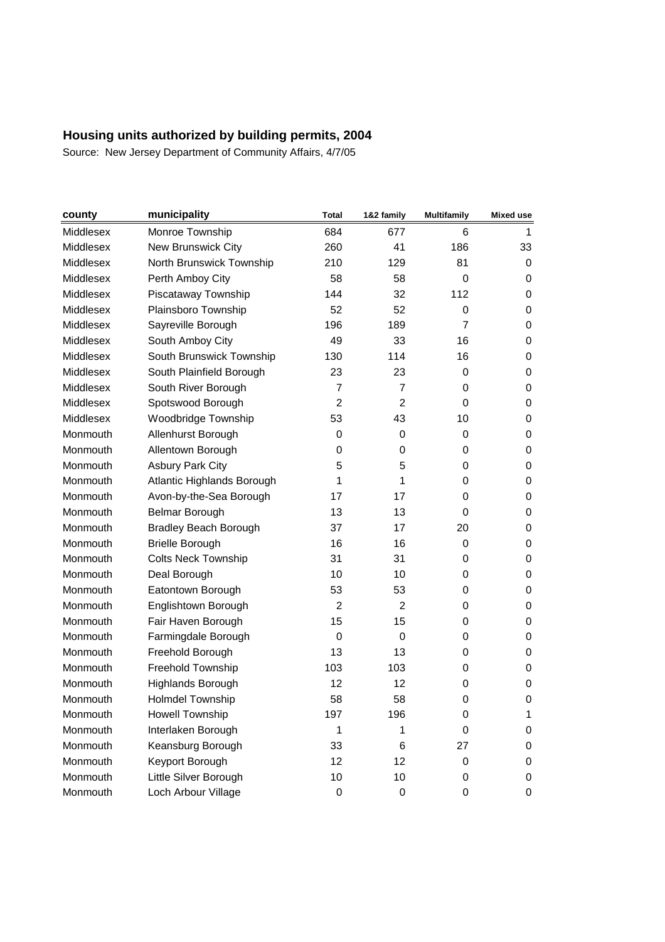| county           | municipality                 | Total          | 1&2 family     | <b>Multifamily</b> | <b>Mixed use</b> |
|------------------|------------------------------|----------------|----------------|--------------------|------------------|
| <b>Middlesex</b> | Monroe Township              | 684            | 677            | 6                  | 1                |
| Middlesex        | New Brunswick City           | 260            | 41             | 186                | 33               |
| Middlesex        | North Brunswick Township     | 210            | 129            | 81                 | 0                |
| Middlesex        | Perth Amboy City             | 58             | 58             | 0                  | 0                |
| <b>Middlesex</b> | Piscataway Township          | 144            | 32             | 112                | 0                |
| Middlesex        | Plainsboro Township          | 52             | 52             | 0                  | 0                |
| Middlesex        | Sayreville Borough           | 196            | 189            | $\overline{7}$     | 0                |
| Middlesex        | South Amboy City             | 49             | 33             | 16                 | 0                |
| <b>Middlesex</b> | South Brunswick Township     | 130            | 114            | 16                 | 0                |
| Middlesex        | South Plainfield Borough     | 23             | 23             | 0                  | 0                |
| <b>Middlesex</b> | South River Borough          | $\overline{7}$ | $\overline{7}$ | 0                  | 0                |
| Middlesex        | Spotswood Borough            | $\overline{2}$ | 2              | 0                  | 0                |
| Middlesex        | Woodbridge Township          | 53             | 43             | 10                 | 0                |
| Monmouth         | Allenhurst Borough           | 0              | 0              | 0                  | 0                |
| Monmouth         | Allentown Borough            | 0              | 0              | 0                  | 0                |
| Monmouth         | <b>Asbury Park City</b>      | 5              | 5              | 0                  | 0                |
| Monmouth         | Atlantic Highlands Borough   | 1              | 1              | 0                  | 0                |
| Monmouth         | Avon-by-the-Sea Borough      | 17             | 17             | 0                  | 0                |
| Monmouth         | Belmar Borough               | 13             | 13             | 0                  | 0                |
| Monmouth         | <b>Bradley Beach Borough</b> | 37             | 17             | 20                 | 0                |
| Monmouth         | <b>Brielle Borough</b>       | 16             | 16             | 0                  | 0                |
| Monmouth         | <b>Colts Neck Township</b>   | 31             | 31             | 0                  | 0                |
| Monmouth         | Deal Borough                 | 10             | 10             | 0                  | 0                |
| Monmouth         | Eatontown Borough            | 53             | 53             | 0                  | 0                |
| Monmouth         | Englishtown Borough          | 2              | 2              | 0                  | 0                |
| Monmouth         | Fair Haven Borough           | 15             | 15             | 0                  | 0                |
| Monmouth         | Farmingdale Borough          | 0              | 0              | 0                  | 0                |
| Monmouth         | Freehold Borough             | 13             | 13             | 0                  | 0                |
| Monmouth         | Freehold Township            | 103            | 103            | 0                  | 0                |
| Monmouth         | Highlands Borough            | 12             | 12             | 0                  | 0                |
| Monmouth         | <b>Holmdel Township</b>      | 58             | 58             | 0                  | 0                |
| Monmouth         | Howell Township              | 197            | 196            | 0                  | 1                |
| Monmouth         | Interlaken Borough           | 1              | 1              | 0                  | 0                |
| Monmouth         | Keansburg Borough            | 33             | 6              | 27                 | 0                |
| Monmouth         | Keyport Borough              | 12             | 12             | 0                  | 0                |
| Monmouth         | Little Silver Borough        | 10             | 10             | 0                  | 0                |
| Monmouth         | Loch Arbour Village          | 0              | 0              | 0                  | 0                |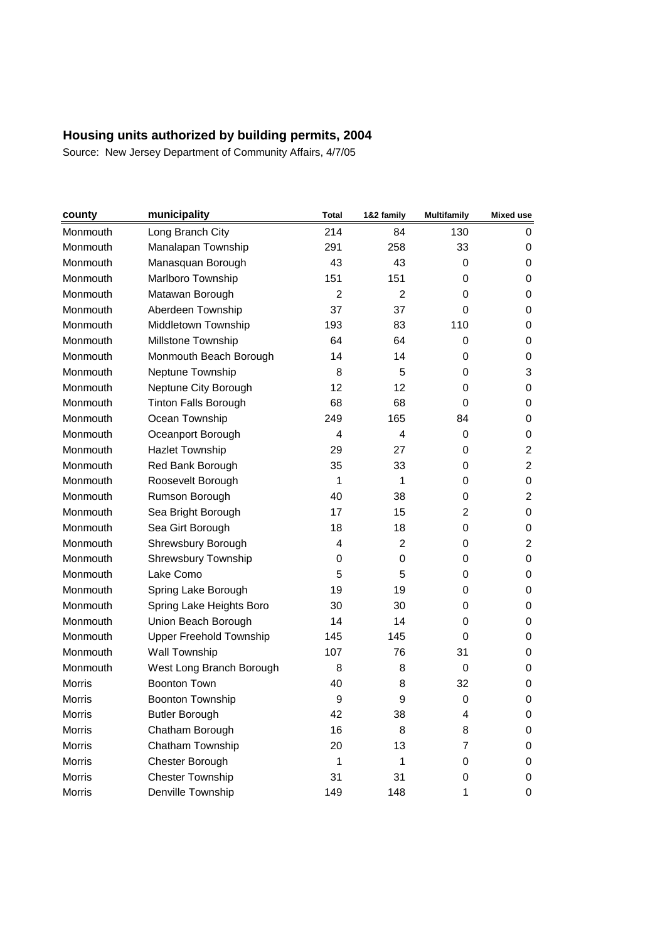| county          | municipality                   | <b>Total</b>   | 1&2 family     | <b>Multifamily</b> | <b>Mixed use</b> |
|-----------------|--------------------------------|----------------|----------------|--------------------|------------------|
| Monmouth        | Long Branch City               | 214            | 84             | 130                | 0                |
| Monmouth        | Manalapan Township             | 291            | 258            | 33                 | 0                |
| Monmouth        | Manasquan Borough              | 43             | 43             | 0                  | 0                |
| Monmouth        | Marlboro Township              | 151            | 151            | 0                  | 0                |
| Monmouth        | Matawan Borough                | $\mathfrak{p}$ | 2              | 0                  | 0                |
| Monmouth        | Aberdeen Township              | 37             | 37             | 0                  | 0                |
| Monmouth        | Middletown Township            | 193            | 83             | 110                | 0                |
| Monmouth        | Millstone Township             | 64             | 64             | 0                  | 0                |
| Monmouth        | Monmouth Beach Borough         | 14             | 14             | 0                  | 0                |
| Monmouth        | Neptune Township               | 8              | 5              | 0                  | 3                |
| Monmouth        | Neptune City Borough           | 12             | 12             | 0                  | 0                |
| <b>Monmouth</b> | <b>Tinton Falls Borough</b>    | 68             | 68             | 0                  | 0                |
| Monmouth        | Ocean Township                 | 249            | 165            | 84                 | 0                |
| Monmouth        | Oceanport Borough              | 4              | 4              | 0                  | 0                |
| Monmouth        | <b>Hazlet Township</b>         | 29             | 27             | 0                  | $\overline{c}$   |
| Monmouth        | Red Bank Borough               | 35             | 33             | 0                  | $\overline{2}$   |
| Monmouth        | Roosevelt Borough              | 1              | 1              | 0                  | 0                |
| Monmouth        | Rumson Borough                 | 40             | 38             | 0                  | $\overline{2}$   |
| Monmouth        | Sea Bright Borough             | 17             | 15             | 2                  | 0                |
| Monmouth        | Sea Girt Borough               | 18             | 18             | 0                  | 0                |
| Monmouth        | Shrewsbury Borough             | 4              | $\overline{2}$ | 0                  | $\overline{c}$   |
| Monmouth        | Shrewsbury Township            | 0              | 0              | 0                  | 0                |
| Monmouth        | Lake Como                      | 5              | 5              | 0                  | 0                |
| Monmouth        | Spring Lake Borough            | 19             | 19             | 0                  | 0                |
| Monmouth        | Spring Lake Heights Boro       | 30             | 30             | 0                  | 0                |
| Monmouth        | Union Beach Borough            | 14             | 14             | 0                  | 0                |
| Monmouth        | <b>Upper Freehold Township</b> | 145            | 145            | 0                  | 0                |
| Monmouth        | <b>Wall Township</b>           | 107            | 76             | 31                 | 0                |
| Monmouth        | West Long Branch Borough       | 8              | 8              | 0                  | 0                |
| <b>Morris</b>   | <b>Boonton Town</b>            | 40             | 8              | 32                 | 0                |
| <b>Morris</b>   | <b>Boonton Township</b>        | 9              | 9              | 0                  | 0                |
| Morris          | <b>Butler Borough</b>          | 42             | 38             | 4                  | 0                |
| Morris          | Chatham Borough                | 16             | 8              | 8                  | 0                |
| Morris          | Chatham Township               | 20             | 13             | $\overline{7}$     | 0                |
| Morris          | Chester Borough                | 1              | 1              | 0                  | 0                |
| Morris          | Chester Township               | 31             | 31             | 0                  | 0                |
| Morris          | Denville Township              | 149            | 148            | 1                  | 0                |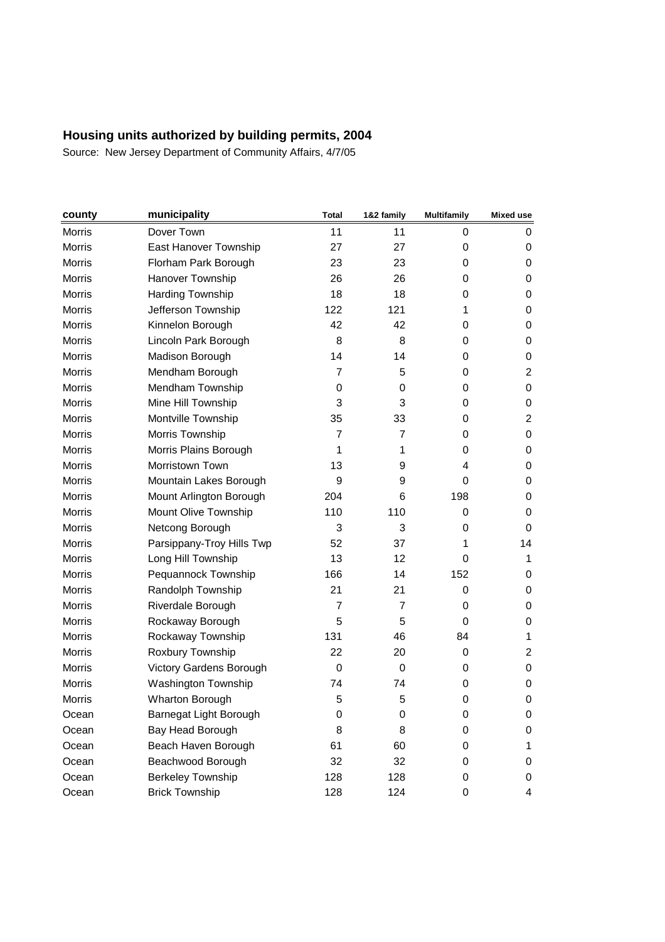| county        | municipality              | Total          | 1&2 family     | <b>Multifamily</b> | Mixed use      |
|---------------|---------------------------|----------------|----------------|--------------------|----------------|
| Morris        | Dover Town                | 11             | 11             | 0                  | 0              |
| Morris        | East Hanover Township     | 27             | 27             | 0                  | 0              |
| <b>Morris</b> | Florham Park Borough      | 23             | 23             | 0                  | 0              |
| <b>Morris</b> | Hanover Township          | 26             | 26             | 0                  | 0              |
| <b>Morris</b> | Harding Township          | 18             | 18             | 0                  | 0              |
| <b>Morris</b> | Jefferson Township        | 122            | 121            | 1                  | 0              |
| <b>Morris</b> | Kinnelon Borough          | 42             | 42             | 0                  | 0              |
| Morris        | Lincoln Park Borough      | 8              | 8              | 0                  | 0              |
| Morris        | Madison Borough           | 14             | 14             | 0                  | 0              |
| <b>Morris</b> | Mendham Borough           | $\overline{7}$ | 5              | 0                  | $\overline{2}$ |
| <b>Morris</b> | Mendham Township          | 0              | 0              | 0                  | 0              |
| Morris        | Mine Hill Township        | 3              | 3              | 0                  | 0              |
| Morris        | Montville Township        | 35             | 33             | 0                  | $\overline{c}$ |
| Morris        | Morris Township           | $\overline{7}$ | 7              | 0                  | 0              |
| Morris        | Morris Plains Borough     | 1              | 1              | 0                  | 0              |
| <b>Morris</b> | Morristown Town           | 13             | 9              | 4                  | 0              |
| <b>Morris</b> | Mountain Lakes Borough    | 9              | 9              | 0                  | 0              |
| <b>Morris</b> | Mount Arlington Borough   | 204            | 6              | 198                | 0              |
| Morris        | Mount Olive Township      | 110            | 110            | 0                  | 0              |
| Morris        | Netcong Borough           | 3              | 3              | 0                  | 0              |
| <b>Morris</b> | Parsippany-Troy Hills Twp | 52             | 37             | 1                  | 14             |
| <b>Morris</b> | Long Hill Township        | 13             | 12             | 0                  | 1              |
| Morris        | Pequannock Township       | 166            | 14             | 152                | 0              |
| <b>Morris</b> | Randolph Township         | 21             | 21             | 0                  | 0              |
| <b>Morris</b> | Riverdale Borough         | $\overline{7}$ | $\overline{7}$ | 0                  | 0              |
| Morris        | Rockaway Borough          | 5              | 5              | 0                  | 0              |
| Morris        | Rockaway Township         | 131            | 46             | 84                 | 1              |
| <b>Morris</b> | Roxbury Township          | 22             | 20             | 0                  | $\overline{c}$ |
| <b>Morris</b> | Victory Gardens Borough   | $\Omega$       | 0              | 0                  | 0              |
| Morris        | Washington Township       | 74             | 74             | 0                  | 0              |
| Morris        | Wharton Borough           | 5              | 5              | $\mathbf 0$        | 0              |
| Ocean         | Barnegat Light Borough    | 0              | 0              | 0                  | 0              |
| Ocean         | Bay Head Borough          | 8              | 8              | 0                  | 0              |
| Ocean         | Beach Haven Borough       | 61             | 60             | 0                  | 1              |
| Ocean         | Beachwood Borough         | 32             | 32             | 0                  | 0              |
| Ocean         | <b>Berkeley Township</b>  | 128            | 128            | 0                  | 0              |
| Ocean         | <b>Brick Township</b>     | 128            | 124            | 0                  | 4              |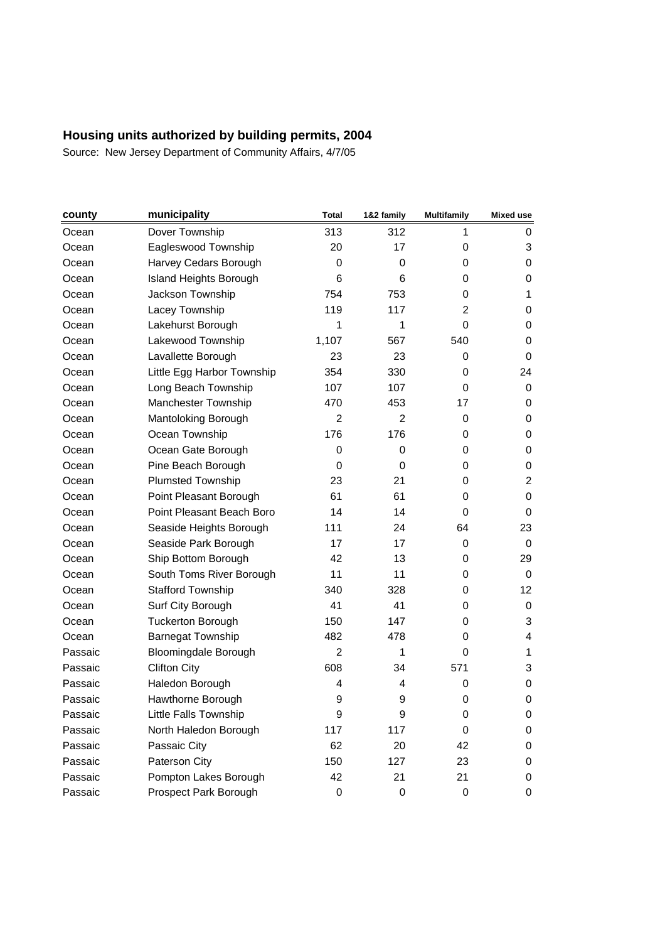| county  | municipality                | Total          | 1&2 family     | <b>Multifamily</b> | Mixed use      |
|---------|-----------------------------|----------------|----------------|--------------------|----------------|
| Ocean   | Dover Township              | 313            | 312            | 1                  | 0              |
| Ocean   | Eagleswood Township         | 20             | 17             | 0                  | 3              |
| Ocean   | Harvey Cedars Borough       | 0              | 0              | 0                  | 0              |
| Ocean   | Island Heights Borough      | 6              | 6              | 0                  | 0              |
| Ocean   | Jackson Township            | 754            | 753            | 0                  | 1              |
| Ocean   | Lacey Township              | 119            | 117            | $\overline{2}$     | 0              |
| Ocean   | Lakehurst Borough           | 1              | 1              | $\mathbf 0$        | 0              |
| Ocean   | Lakewood Township           | 1,107          | 567            | 540                | 0              |
| Ocean   | Lavallette Borough          | 23             | 23             | 0                  | 0              |
| Ocean   | Little Egg Harbor Township  | 354            | 330            | 0                  | 24             |
| Ocean   | Long Beach Township         | 107            | 107            | 0                  | 0              |
| Ocean   | Manchester Township         | 470            | 453            | 17                 | 0              |
| Ocean   | Mantoloking Borough         | $\overline{2}$ | $\overline{2}$ | 0                  | 0              |
| Ocean   | Ocean Township              | 176            | 176            | 0                  | 0              |
| Ocean   | Ocean Gate Borough          | 0              | 0              | 0                  | 0              |
| Ocean   | Pine Beach Borough          | 0              | 0              | 0                  | 0              |
| Ocean   | Plumsted Township           | 23             | 21             | 0                  | $\overline{c}$ |
| Ocean   | Point Pleasant Borough      | 61             | 61             | 0                  | 0              |
| Ocean   | Point Pleasant Beach Boro   | 14             | 14             | 0                  | 0              |
| Ocean   | Seaside Heights Borough     | 111            | 24             | 64                 | 23             |
| Ocean   | Seaside Park Borough        | 17             | 17             | 0                  | 0              |
| Ocean   | Ship Bottom Borough         | 42             | 13             | 0                  | 29             |
| Ocean   | South Toms River Borough    | 11             | 11             | 0                  | $\mathbf 0$    |
| Ocean   | <b>Stafford Township</b>    | 340            | 328            | 0                  | 12             |
| Ocean   | Surf City Borough           | 41             | 41             | 0                  | 0              |
| Ocean   | <b>Tuckerton Borough</b>    | 150            | 147            | 0                  | 3              |
| Ocean   | <b>Barnegat Township</b>    | 482            | 478            | 0                  | 4              |
| Passaic | <b>Bloomingdale Borough</b> | 2              | 1              | 0                  | 1              |
| Passaic | <b>Clifton City</b>         | 608            | 34             | 571                | 3              |
| Passaic | Haledon Borough             | 4              | 4              | 0                  | 0              |
| Passaic | Hawthorne Borough           | 9              | 9              | 0                  | 0              |
| Passaic | Little Falls Township       | 9              | 9              | 0                  | 0              |
| Passaic | North Haledon Borough       | 117            | 117            | 0                  | 0              |
| Passaic | Passaic City                | 62             | 20             | 42                 | 0              |
| Passaic | Paterson City               | 150            | 127            | 23                 | 0              |
| Passaic | Pompton Lakes Borough       | 42             | 21             | 21                 | 0              |
| Passaic | Prospect Park Borough       | 0              | 0              | 0                  | 0              |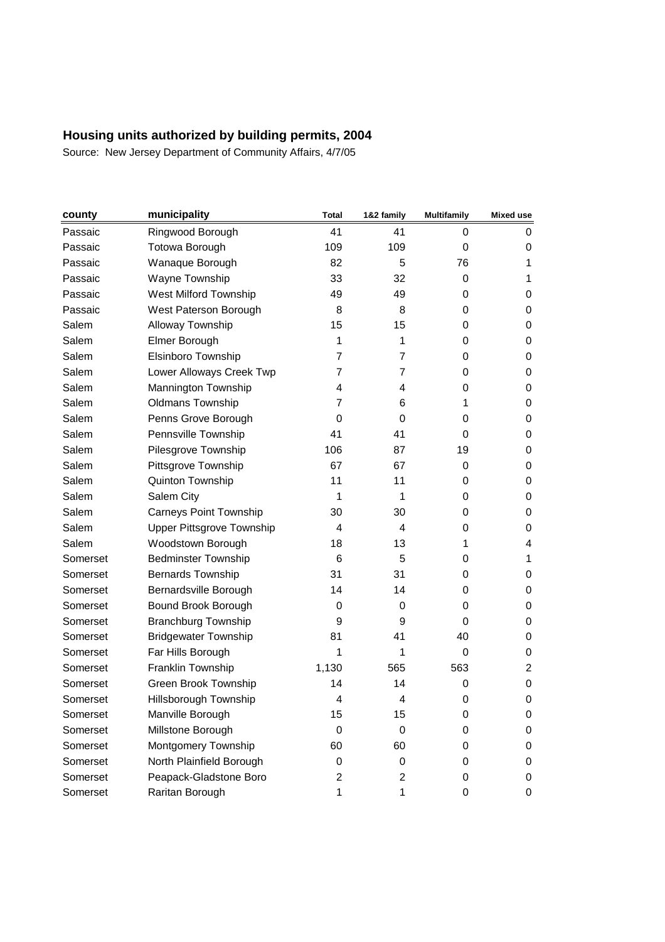| county   | municipality                     | <b>Total</b>   | 1&2 family     | <b>Multifamily</b> | <b>Mixed use</b> |
|----------|----------------------------------|----------------|----------------|--------------------|------------------|
| Passaic  | Ringwood Borough                 | 41             | 41             | 0                  | 0                |
| Passaic  | Totowa Borough                   | 109            | 109            | 0                  | 0                |
| Passaic  | Wanaque Borough                  | 82             | 5              | 76                 | 1                |
| Passaic  | Wayne Township                   | 33             | 32             | 0                  | 1                |
| Passaic  | West Milford Township            | 49             | 49             | 0                  | 0                |
| Passaic  | West Paterson Borough            | 8              | 8              | 0                  | 0                |
| Salem    | Alloway Township                 | 15             | 15             | 0                  | 0                |
| Salem    | Elmer Borough                    | 1              | 1              | 0                  | 0                |
| Salem    | Elsinboro Township               | $\overline{7}$ | 7              | 0                  | 0                |
| Salem    | Lower Alloways Creek Twp         | $\overline{7}$ | $\overline{7}$ | $\mathbf 0$        | 0                |
| Salem    | Mannington Township              | 4              | 4              | 0                  | 0                |
| Salem    | <b>Oldmans Township</b>          | 7              | 6              | 1                  | 0                |
| Salem    | Penns Grove Borough              | 0              | 0              | $\mathbf 0$        | 0                |
| Salem    | Pennsville Township              | 41             | 41             | 0                  | 0                |
| Salem    | Pilesgrove Township              | 106            | 87             | 19                 | 0                |
| Salem    | Pittsgrove Township              | 67             | 67             | 0                  | 0                |
| Salem    | Quinton Township                 | 11             | 11             | 0                  | 0                |
| Salem    | Salem City                       | 1              | 1              | 0                  | 0                |
| Salem    | <b>Carneys Point Township</b>    | 30             | 30             | 0                  | 0                |
| Salem    | <b>Upper Pittsgrove Township</b> | 4              | 4              | 0                  | 0                |
| Salem    | Woodstown Borough                | 18             | 13             | 1                  | 4                |
| Somerset | <b>Bedminster Township</b>       | 6              | 5              | 0                  | 1                |
| Somerset | Bernards Township                | 31             | 31             | 0                  | 0                |
| Somerset | Bernardsville Borough            | 14             | 14             | 0                  | 0                |
| Somerset | Bound Brook Borough              | 0              | 0              | 0                  | 0                |
| Somerset | <b>Branchburg Township</b>       | 9              | 9              | 0                  | 0                |
| Somerset | <b>Bridgewater Township</b>      | 81             | 41             | 40                 | 0                |
| Somerset | Far Hills Borough                | 1              | 1              | 0                  | 0                |
| Somerset | Franklin Township                | 1,130          | 565            | 563                | $\overline{2}$   |
| Somerset | Green Brook Township             | 14             | 14             | 0                  | 0                |
| Somerset | Hillsborough Township            | 4              | 4              | $\mathbf 0$        | 0                |
| Somerset | Manville Borough                 | 15             | 15             | 0                  | 0                |
| Somerset | Millstone Borough                | 0              | 0              | 0                  | 0                |
| Somerset | Montgomery Township              | 60             | 60             | 0                  | 0                |
| Somerset | North Plainfield Borough         | 0              | 0              | 0                  | 0                |
| Somerset | Peapack-Gladstone Boro           | 2              | 2              | 0                  | 0                |
| Somerset | Raritan Borough                  | 1              | 1              | 0                  | 0                |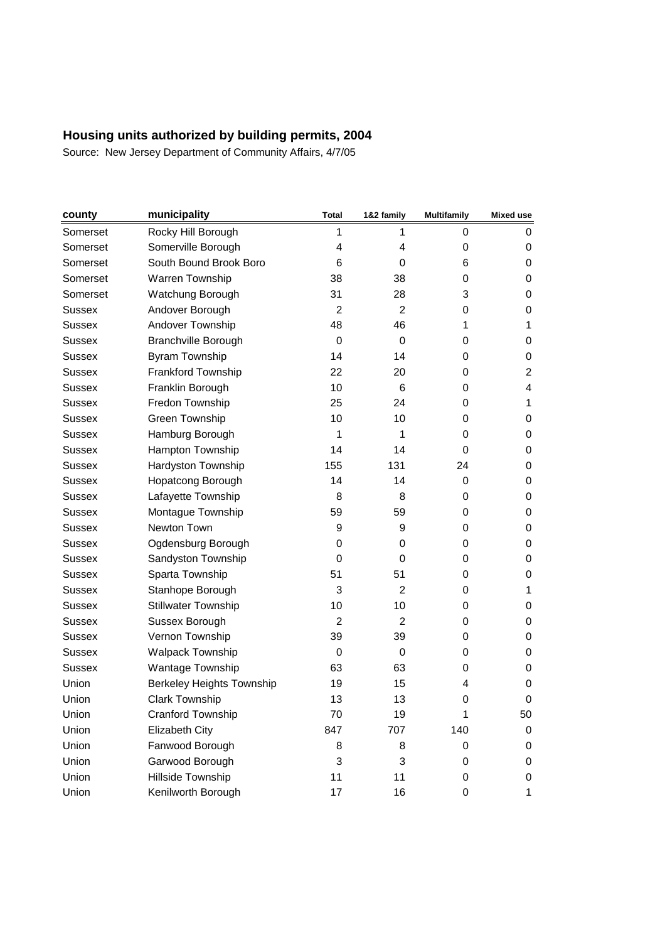| county        | municipality                     | <b>Total</b>   | 1&2 family | <b>Multifamily</b> | Mixed use |
|---------------|----------------------------------|----------------|------------|--------------------|-----------|
| Somerset      | Rocky Hill Borough               | 1              | 1          | 0                  | 0         |
| Somerset      | Somerville Borough               | 4              | 4          | 0                  | 0         |
| Somerset      | South Bound Brook Boro           | 6              | 0          | 6                  | 0         |
| Somerset      | Warren Township                  | 38             | 38         | 0                  | 0         |
| Somerset      | Watchung Borough                 | 31             | 28         | 3                  | 0         |
| <b>Sussex</b> | Andover Borough                  | 2              | 2          | 0                  | 0         |
| Sussex        | Andover Township                 | 48             | 46         | 1                  | 1         |
| <b>Sussex</b> | <b>Branchville Borough</b>       | 0              | 0          | 0                  | 0         |
| Sussex        | Byram Township                   | 14             | 14         | 0                  | 0         |
| <b>Sussex</b> | Frankford Township               | 22             | 20         | 0                  | 2         |
| <b>Sussex</b> | Franklin Borough                 | 10             | 6          | 0                  | 4         |
| <b>Sussex</b> | Fredon Township                  | 25             | 24         | 0                  | 1         |
| <b>Sussex</b> | Green Township                   | 10             | 10         | 0                  | 0         |
| <b>Sussex</b> | Hamburg Borough                  | 1              | 1          | 0                  | 0         |
| <b>Sussex</b> | Hampton Township                 | 14             | 14         | 0                  | 0         |
| <b>Sussex</b> | Hardyston Township               | 155            | 131        | 24                 | 0         |
| Sussex        | Hopatcong Borough                | 14             | 14         | 0                  | 0         |
| <b>Sussex</b> | Lafayette Township               | 8              | 8          | 0                  | 0         |
| <b>Sussex</b> | Montague Township                | 59             | 59         | 0                  | 0         |
| <b>Sussex</b> | Newton Town                      | 9              | 9          | 0                  | 0         |
| <b>Sussex</b> | Ogdensburg Borough               | 0              | 0          | 0                  | 0         |
| <b>Sussex</b> | Sandyston Township               | 0              | 0          | 0                  | 0         |
| Sussex        | Sparta Township                  | 51             | 51         | 0                  | 0         |
| <b>Sussex</b> | Stanhope Borough                 | 3              | 2          | 0                  | 1         |
| <b>Sussex</b> | <b>Stillwater Township</b>       | 10             | 10         | 0                  | 0         |
| <b>Sussex</b> | Sussex Borough                   | $\overline{2}$ | 2          | 0                  | 0         |
| <b>Sussex</b> | Vernon Township                  | 39             | 39         | 0                  | 0         |
| <b>Sussex</b> | <b>Walpack Township</b>          | 0              | 0          | 0                  | 0         |
| <b>Sussex</b> | Wantage Township                 | 63             | 63         | 0                  | 0         |
| Union         | <b>Berkeley Heights Township</b> | 19             | 15         | 4                  | 0         |
| Union         | <b>Clark Township</b>            | 13             | 13         | 0                  | 0         |
| Union         | Cranford Township                | 70             | 19         | 1                  | 50        |
| Union         | Elizabeth City                   | 847            | 707        | 140                | 0         |
| Union         | Fanwood Borough                  | 8              | 8          | 0                  | 0         |
| Union         | Garwood Borough                  | 3              | 3          | 0                  | 0         |
| Union         | Hillside Township                | 11             | 11         | 0                  | 0         |
| Union         | Kenilworth Borough               | 17             | 16         | 0                  | 1         |